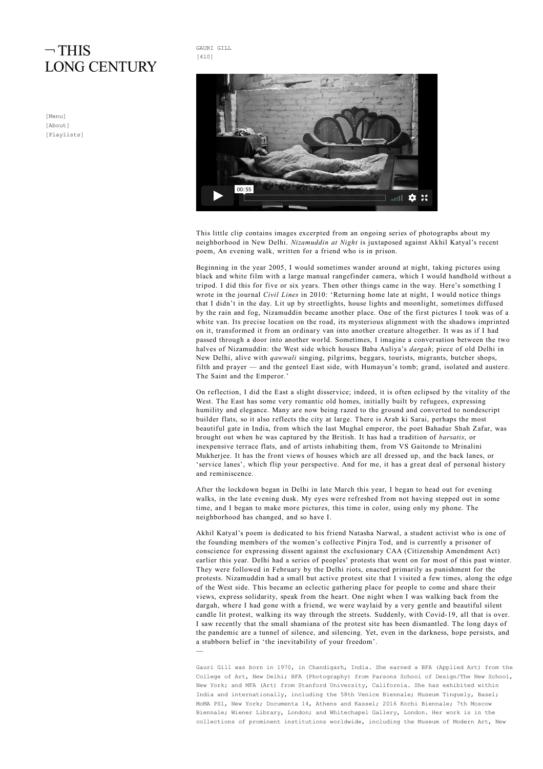## $\neg$ THIS **LONG CENTURY**

[\[Menu\]](http://www.thislongcentury.com/) [\[About\]](http://www.thislongcentury.com/?page_id=18) [\[Playlists\]](http://www.thislongcentury.com/?page_id=7855)





This little clip contains images excerpted from an ongoing series of photographs about my neighborhood in New Delhi. Nizamuddin at Night is juxtaposed against Akhil Katyal's recent poem, An evening walk, written for a friend who is in prison.

Beginning in the year 2005, I would sometimes wander around at night, taking pictures using black and white film with a large manual rangefinder camera, which I would handhold without a tripod. I did this for five or six years. Then other things came in the way. Here's something I wrote in the journal Civil Lines in 2010: 'Returning home late at night, I would notice things that I didn't in the day. Lit up by streetlights, house lights and moonlight, sometimes diffused by the rain and fog, Nizamuddin became another place. One of the first pictures I took was of a white van. Its precise location on the road, its mysterious alignment with the shadows imprinted on it, transformed it from an ordinary van into another creature altogether. It was as if I had passed through a door into another world. Sometimes, I imagine a conversation between the two halves of Nizamuddin: the West side which houses Baba Auliya's *dargah*; piece of old Delhi in New Delhi, alive with *qawwali* singing, pilgrims, beggars, tourists, migrants, butcher shops, filth and prayer — and the genteel East side, with Humayun's tomb; grand, isolated and austere. The Saint and the Emperor.'

On reflection, I did the East a slight disservice; indeed, it is often eclipsed by the vitality of the West. The East has some very romantic old homes, initially built by refugees, expressing humility and elegance. Many are now being razed to the ground and converted to nondescript builder flats, so it also reflects the city at large. There is Arab ki Sarai, perhaps the most beautiful gate in India, from which the last Mughal emperor, the poet Bahadur Shah Zafar, was brought out when he was captured by the British. It has had a tradition of barsatis, or inexpensive terrace flats, and of artists inhabiting them, from VS Gaitonde to Mrinalini Mukherjee. It has the front views of houses which are all dressed up, and the back lanes, or 'service lanes', which flip your perspective. And for me, it has a great deal of personal history and reminiscence.

After the lockdown began in Delhi in late March this year, I began to head out for evening walks, in the late evening dusk. My eyes were refreshed from not having stepped out in some time, and I began to make more pictures, this time in color, using only my phone. The neighborhood has changed, and so have I.

Akhil Katyal's poem is dedicated to his friend Natasha Narwal, a student activist who is one of the founding members of the women's collective Pinjra Tod, and is currently a prisoner of conscience for expressing dissent against the exclusionary CAA (Citizenship Amendment Act) earlier this year. Delhi had a series of peoples' protests that went on for most of this past winter. They were followed in February by the Delhi riots, enacted primarily as punishment for the protests. Nizamuddin had a small but active protest site that I visited a few times, along the edge of the West side. This became an eclectic gathering place for people to come and share their views, express solidarity, speak from the heart. One night when I was walking back from the dargah, where I had gone with a friend, we were waylaid by a very gentle and beautiful silent candle lit protest, walking its way through the streets. Suddenly, with Covid-19, all that is over. I saw recently that the small shamiana of the protest site has been dismantled. The long days of the pandemic are a tunnel of silence, and silencing. Yet, even in the darkness, hope persists, and a stubborn belief in 'the inevitability of your freedom'. —

Gauri Gill was born in 1970, in Chandigarh, India. She earned a BFA (Applied Art) from the College of Art, New Delhi; BFA (Photography) from Parsons School of Design/The New School, New York; and MFA (Art) from Stanford University, California. She has exhibited within India and internationally, including the 58th Venice Biennale; Museum Tinguely, Basel; MoMA PS1, New York; Documenta 14, Athens and Kassel; 2016 Kochi Biennale; 7th Moscow Biennale; Wiener Library, London; and Whitechapel Gallery, London. Her work is in the collections of prominent institutions worldwide, including the Museum of Modern Art, New